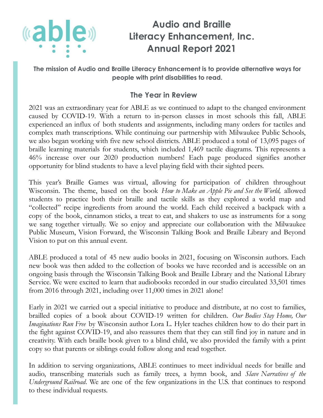

**The mission of Audio and Braille Literacy Enhancement is to provide alternative ways for people with print disabilities to read.**

## **The Year in Review**

2021 was an extraordinary year for ABLE as we continued to adapt to the changed environment caused by COVID-19. With a return to in-person classes in most schools this fall, ABLE experienced an influx of both students and assignments, including many orders for tactiles and complex math transcriptions. While continuing our partnership with Milwaukee Public Schools, we also began working with five new school districts. ABLE produced a total of 13,095 pages of braille learning materials for students, which included 1,469 tactile diagrams. This represents a 46% increase over our 2020 production numbers! Each page produced signifies another opportunity for blind students to have a level playing field with their sighted peers.

This year's Braille Games was virtual, allowing for participation of children throughout Wisconsin. The theme, based on the book *How to Make an Apple Pie and See the World,* allowed students to practice both their braille and tactile skills as they explored a world map and "collected" recipe ingredients from around the world. Each child received a backpack with a copy of the book, cinnamon sticks, a treat to eat, and shakers to use as instruments for a song we sang together virtually. We so enjoy and appreciate our collaboration with the Milwaukee Public Museum, Vision Forward, the Wisconsin Talking Book and Braille Library and Beyond Vision to put on this annual event.

ABLE produced a total of 45 new audio books in 2021, focusing on Wisconsin authors. Each new book was then added to the collection of books we have recorded and is accessible on an ongoing basis through the Wisconsin Talking Book and Braille Library and the National Library Service. We were excited to learn that audiobooks recorded in our studio circulated 33,501 times from 2016 through 2021, including over 11,000 times in 2021 alone!

Early in 2021 we carried out a special initiative to produce and distribute, at no cost to families, brailled copies of a book about COVID-19 written for children. *Our Bodies Stay Home, Our Imaginations Run Free* by Wisconsin author Lora L. Hyler teaches children how to do their part in the fight against COVID-19, and also reassures them that they can still find joy in nature and in creativity. With each braille book given to a blind child, we also provided the family with a print copy so that parents or siblings could follow along and read together.

In addition to serving organizations, ABLE continues to meet individual needs for braille and audio, transcribing materials such as family trees, a hymn book, and *Slave Narratives of the Underground Railroad*. We are one of the few organizations in the U.S. that continues to respond to these individual requests.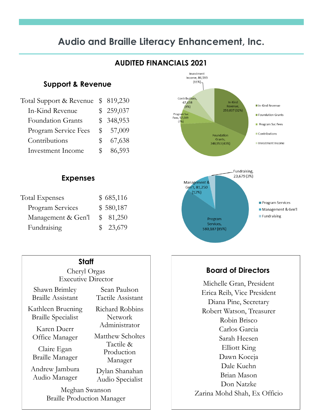# **Audio and Braille Literacy Enhancement, Inc.**

### **AUDITED FINANCIALS 2021**

#### **Support & Revenue**

| Total Support & Revenue  |               | \$819,230 |
|--------------------------|---------------|-----------|
| In-Kind Revenue          |               | \$259,037 |
| <b>Foundation Grants</b> |               | \$348,953 |
| Program Service Fees     | $\mathbb S^-$ | 57,009    |
| Contributions            | $\mathcal{F}$ | 67,638    |
| Investment Income        |               | 86,593    |

#### **Expenses**

| <b>Total Expenses</b> | \$685,116 |
|-----------------------|-----------|
| Program Services      | \$580,187 |
| Management & Gen'l    | \$81,250  |
| Fundraising           | \$23,679  |

#### **Staff**

Cheryl Orgas Executive Director

Shawn Brimley Braille Assistant

Kathleen Bruening Braille Specialist

Karen Duerr Office Manager

Claire Egan Braille Manager

Andrew Jambura Audio Manager

Sean Paulson Tactile Assistant Richard Robbins Network Administrator Matthew Scholtes Tactile & Production Manager

Dylan Shanahan Audio Specialist

Meghan Swanson Braille Production Manager



### **Board of Directors**

Michelle Gran, President Erica Reib, Vice President Diana Pine, Secretary Robert Watson, Treasurer Robin Brisco Carlos Garcia Sarah Heesen Elliott King Dawn Koceja Dale Kuehn Brian Mason Don Natzke Zarina Mohd Shah, Ex Officio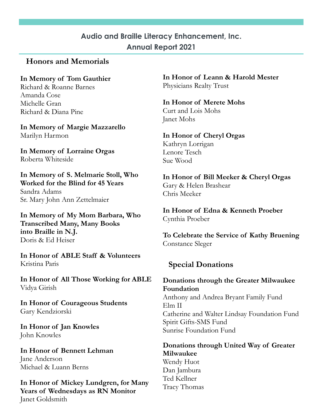### **Honors and Memorials**

**In Memory of Tom Gauthier** Richard & Roanne Barnes Amanda Cose Michelle Gran Richard & Diana Pine

**In Memory of Margie Mazzarello**  Marilyn Harmon

**In Memory of Lorraine Orgas** Roberta Whiteside

**In Memory of S. Melmarie Stoll, Who Worked for the Blind for 45 Years** Sandra Adams Sr. Mary John Ann Zettelmaier

**In Memory of My Mom Barbara, Who Transcribed Many, Many Books into Braille in N.J.**  Doris & Ed Heiser

**In Honor of ABLE Staff & Volunteers**  Kristina Paris

**In Honor of All Those Working for ABLE** Vidya Girish

**In Honor of Courageous Students**  Gary Kendziorski

**In Honor of Jan Knowles** John Knowles

**In Honor of Bennett Lehman** Jane Anderson Michael & Luann Berns

**In Honor of Mickey Lundgren, for Many Years of Wednesdays as RN Monitor** Janet Goldsmith

**In Honor of Leann & Harold Mester** Physicians Realty Trust

**In Honor of Merete Mohs** Curt and Lois Mohs Janet Mohs

**In Honor of Cheryl Orgas** Kathryn Lorrigan Lenore Tesch Sue Wood

**In Honor of Bill Meeker & Cheryl Orgas**  Gary & Helen Brashear Chris Meeker

**In Honor of Edna & Kenneth Proeber** Cynthia Proeber

**To Celebrate the Service of Kathy Bruening** Constance Sleger

### **Special Donations**

**Donations through the Greater Milwaukee Foundation** Anthony and Andrea Bryant Family Fund Elm II Catherine and Walter Lindsay Foundation Fund Spirit Gifts-SMS Fund

Sunrise Foundation Fund

**Donations through United Way of Greater Milwaukee** Wendy Huot

Dan Jambura Ted Kellner Tracy Thomas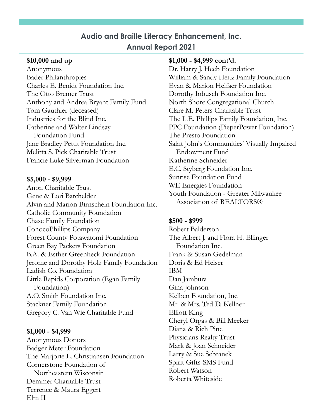#### **\$10,000 and up**

Anonymous Bader Philanthropies Charles E. Benidt Foundation Inc. The Otto Bremer Trust Anthony and Andrea Bryant Family Fund Tom Gauthier (deceased) Industries for the Blind Inc. Catherine and Walter Lindsay Foundation Fund Jane Bradley Pettit Foundation Inc. Melitta S. Pick Charitable Trust Francie Luke Silverman Foundation

#### **\$5,000 - \$9,999**

Anon Charitable Trust Gene & Lori Batchelder Alvin and Marion Birnschein Foundation Inc. Catholic Community Foundation Chase Family Foundation ConocoPhillips Company Forest County Potawatomi Foundation Green Bay Packers Foundation B.A. & Esther Greenheck Foundation Jerome and Dorothy Holz Family Foundation Ladish Co. Foundation Little Rapids Corporation (Egan Family Foundation) A.O. Smith Foundation Inc. Stackner Family Foundation Gregory C. Van Wie Charitable Fund

#### **\$1,000 - \$4,999**

Anonymous Donors Badger Meter Foundation The Marjorie L. Christiansen Foundation Cornerstone Foundation of Northeastern Wisconsin Demmer Charitable Trust Terrence & Maura Eggert Elm II

#### **\$1,000 - \$4,999 cont'd.**

Dr. Harry J. Heeb Foundation William & Sandy Heitz Family Foundation Evan & Marion Helfaer Foundation Dorothy Inbusch Foundation Inc. North Shore Congregational Church Clare M. Peters Charitable Trust The L.E. Phillips Family Foundation, Inc. PPC Foundation (PieperPower Foundation) The Presto Foundation Saint John's Communities' Visually Impaired Endowment Fund Katherine Schneider E.C. Styberg Foundation Inc. Sunrise Foundation Fund WE Energies Foundation Youth Foundation - Greater Milwaukee Association of REALTORS®

#### **\$500 - \$999**

Robert Balderson The Albert J. and Flora H. Ellinger Foundation Inc. Frank & Susan Gedelman Doris & Ed Heiser IBM Dan Jambura Gina Johnson Kelben Foundation, Inc. Mr. & Mrs. Ted D. Kellner Elliott King Cheryl Orgas & Bill Meeker Diana & Rich Pine Physicians Realty Trust Mark & Joan Schneider Larry & Sue Sebranek Spirit Gifts-SMS Fund Robert Watson Roberta Whiteside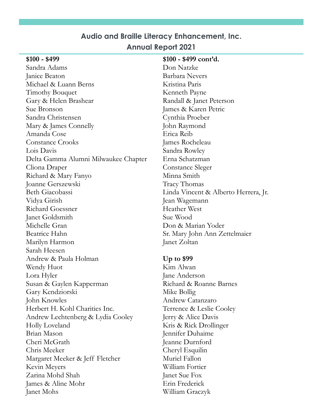| $$100 - $499$                        | $$100 - $499 \text{ cont'd.}$        |
|--------------------------------------|--------------------------------------|
| Sandra Adams                         | Don Natzke                           |
| Janice Beaton                        | <b>Barbara Nevers</b>                |
| Michael & Luann Berns                | Kristina Paris                       |
| Timothy Bouquet                      | Kenneth Payne                        |
| Gary & Helen Brashear                | Randall & Janet Peterson             |
| Sue Bronson                          | James & Karen Petric                 |
| Sandra Christensen                   | Cynthia Proeber                      |
| Mary & James Connelly                | John Raymond                         |
| Amanda Cose                          | Erica Reib                           |
| <b>Constance Crooks</b>              | James Rocheleau                      |
| Lois Davis                           | Sandra Rowley                        |
| Delta Gamma Alumni Milwaukee Chapter | Erna Schatzman                       |
| Cliona Draper                        | <b>Constance Sleger</b>              |
| Richard & Mary Fanyo                 | Minna Smith                          |
| Joanne Gerszewski                    | <b>Tracy Thomas</b>                  |
| Beth Giacobassi                      | Linda Vincent & Alberto Herrera, Jr. |
| Vidya Girish                         | Jean Wagemann                        |
| Richard Goessner                     | <b>Heather West</b>                  |
| Janet Goldsmith                      | Sue Wood                             |
| Michelle Gran                        | Don & Marian Yoder                   |
| Beatrice Hahn                        | Sr. Mary John Ann Zettelmaier        |
| Marilyn Harmon                       | Janet Zoltan                         |
| Sarah Heesen                         |                                      |
| Andrew & Paula Holman                | Up to $$99$                          |
| Wendy Huot                           | Kim Alwan                            |
| Lora Hyler                           | Jane Anderson                        |
| Susan & Gaylen Kapperman             | Richard & Roanne Barnes              |
| Gary Kendziorski                     | Mike Bollig                          |
| John Knowles                         | Andrew Catanzaro                     |
| Herbert H. Kohl Charities Inc.       | Terrence & Leslie Cooley             |
| Andrew Lechtenberg & Lydia Cooley    | Jerry & Alice Davis                  |
| Holly Loveland                       | Kris & Rick Drollinger               |
| Brian Mason                          | Jennifer Duhaime                     |
| Cheri McGrath                        | Jeanne Durnford                      |
| Chris Meeker                         | Cheryl Esquilin                      |
| Margaret Meeker & Jeff Fletcher      | Muriel Fallon                        |
| Kevin Meyers                         | William Fortier                      |
| Zarina Mohd Shah                     | Janet Sue Fox                        |
| James & Aline Mohr                   | Erin Frederick                       |
| Janet Mohs                           | William Graczyk                      |